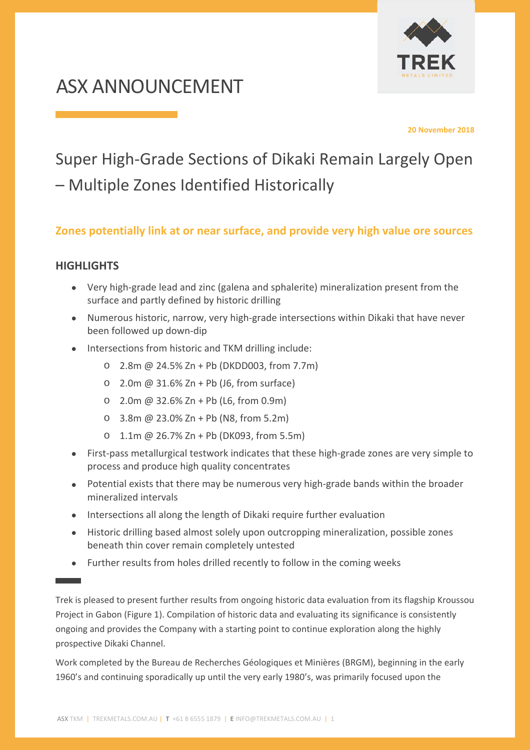

# ASX ANNOUNCEMENT

**20 November 2018** 

# Super High‐Grade Sections of Dikaki Remain Largely Open – Multiple Zones Identified Historically

## **Zones potentially link at or near surface, and provide very high value ore sources**

### **HIGHLIGHTS**

- Very high-grade lead and zinc (galena and sphalerite) mineralization present from the surface and partly defined by historic drilling
- Numerous historic, narrow, very high-grade intersections within Dikaki that have never been followed up down‐dip
- Intersections from historic and TKM drilling include:
	- o 2.8m @ 24.5% Zn + Pb (DKDD003, from 7.7m)
	- $\circ$  2.0m @ 31.6% Zn + Pb (J6, from surface)
	- o 2.0m @ 32.6% Zn + Pb (L6, from 0.9m)
	- o 3.8m @ 23.0% Zn + Pb (N8, from 5.2m)
	- o 1.1m @ 26.7% Zn + Pb (DK093, from 5.5m)
- First-pass metallurgical testwork indicates that these high-grade zones are very simple to process and produce high quality concentrates
- Potential exists that there may be numerous very high-grade bands within the broader mineralized intervals
- Intersections all along the length of Dikaki require further evaluation
- Historic drilling based almost solely upon outcropping mineralization, possible zones beneath thin cover remain completely untested
- Further results from holes drilled recently to follow in the coming weeks

Trek is pleased to present further results from ongoing historic data evaluation from its flagship Kroussou Project in Gabon (Figure 1). Compilation of historic data and evaluating its significance is consistently ongoing and provides the Company with a starting point to continue exploration along the highly prospective Dikaki Channel.

Work completed by the Bureau de Recherches Géologiques et Minières (BRGM), beginning in the early 1960's and continuing sporadically up until the very early 1980's, was primarily focused upon the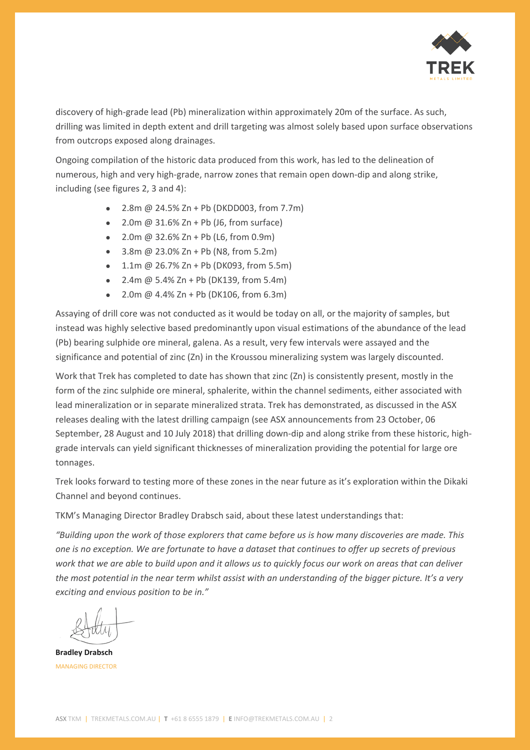

discovery of high‐grade lead (Pb) mineralization within approximately 20m of the surface. As such, drilling was limited in depth extent and drill targeting was almost solely based upon surface observations from outcrops exposed along drainages.

Ongoing compilation of the historic data produced from this work, has led to the delineation of numerous, high and very high‐grade, narrow zones that remain open down‐dip and along strike, including (see figures 2, 3 and 4):

- 2.8m @ 24.5% Zn + Pb (DKDD003, from 7.7m)
- $\bullet$  2.0m @ 31.6% Zn + Pb (J6, from surface)
- $\bullet$  2.0m @ 32.6% Zn + Pb (L6, from 0.9m)
- $\bullet$  3.8m @ 23.0% Zn + Pb (N8, from 5.2m)
- $\bullet$  1.1m @ 26.7% Zn + Pb (DK093, from 5.5m)
- $\bullet$  2.4m @ 5.4% Zn + Pb (DK139, from 5.4m)
- 2.0m  $@$  4.4% Zn + Pb (DK106, from 6.3m)

Assaying of drill core was not conducted as it would be today on all, or the majority of samples, but instead was highly selective based predominantly upon visual estimations of the abundance of the lead (Pb) bearing sulphide ore mineral, galena. As a result, very few intervals were assayed and the significance and potential of zinc (Zn) in the Kroussou mineralizing system was largely discounted.

Work that Trek has completed to date has shown that zinc (Zn) is consistently present, mostly in the form of the zinc sulphide ore mineral, sphalerite, within the channel sediments, either associated with lead mineralization or in separate mineralized strata. Trek has demonstrated, as discussed in the ASX releases dealing with the latest drilling campaign (see ASX announcements from 23 October, 06 September, 28 August and 10 July 2018) that drilling down-dip and along strike from these historic, highgrade intervals can yield significant thicknesses of mineralization providing the potential for large ore tonnages.

Trek looks forward to testing more of these zones in the near future as it's exploration within the Dikaki Channel and beyond continues.

TKM's Managing Director Bradley Drabsch said, about these latest understandings that:

*"Building upon the work of those explorers that came before us is how many discoveries are made. This one is no exception. We are fortunate to have a dataset that continues to offer up secrets of previous work that we are able to build upon and it allows us to quickly focus our work on areas that can deliver the most potential in the near term whilst assist with an understanding of the bigger picture. It's a very exciting and envious position to be in."* 

**Bradley Drabsch**  MANAGING DIRECTOR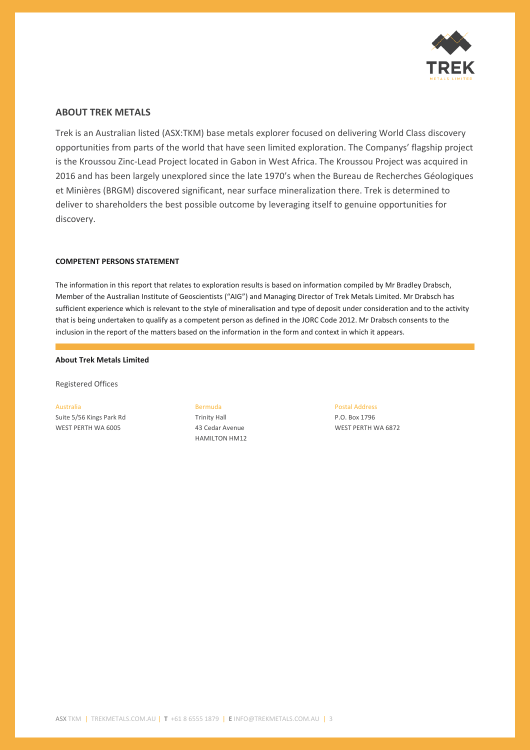

#### **ABOUT TREK METALS**

Trek is an Australian listed (ASX:TKM) base metals explorer focused on delivering World Class discovery opportunities from parts of the world that have seen limited exploration. The Companys' flagship project is the Kroussou Zinc‐Lead Project located in Gabon in West Africa. The Kroussou Project was acquired in 2016 and has been largely unexplored since the late 1970's when the Bureau de Recherches Géologiques et Minières (BRGM) discovered significant, near surface mineralization there. Trek is determined to deliver to shareholders the best possible outcome by leveraging itself to genuine opportunities for discovery.

#### **COMPETENT PERSONS STATEMENT**

The information in this report that relates to exploration results is based on information compiled by Mr Bradley Drabsch, Member of the Australian Institute of Geoscientists ("AIG") and Managing Director of Trek Metals Limited. Mr Drabsch has sufficient experience which is relevant to the style of mineralisation and type of deposit under consideration and to the activity that is being undertaken to qualify as a competent person as defined in the JORC Code 2012. Mr Drabsch consents to the inclusion in the report of the matters based on the information in the form and context in which it appears.

#### **About Trek Metals Limited**

Registered Offices

Australia Suite 5/56 Kings Park Rd WEST PERTH WA 6005

Bermuda Trinity Hall 43 Cedar Avenue HAMILTON HM12 Postal Address P.O. Box 1796 WEST PERTH WA 6872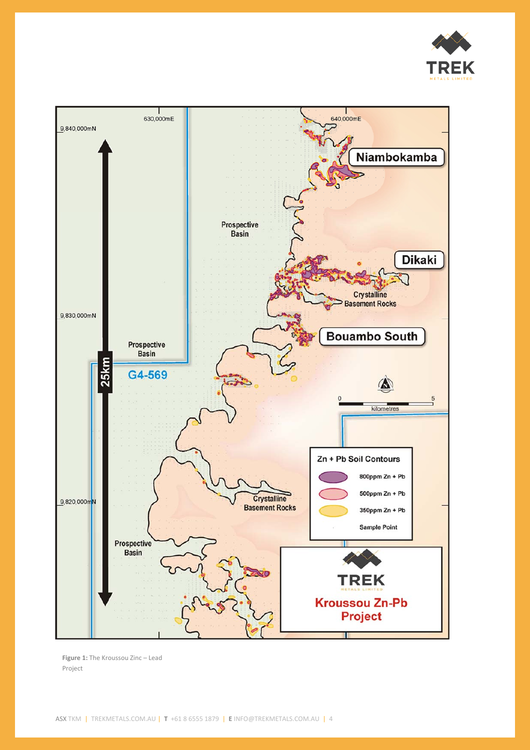



**Figure 1:** The Kroussou Zinc – Lead Project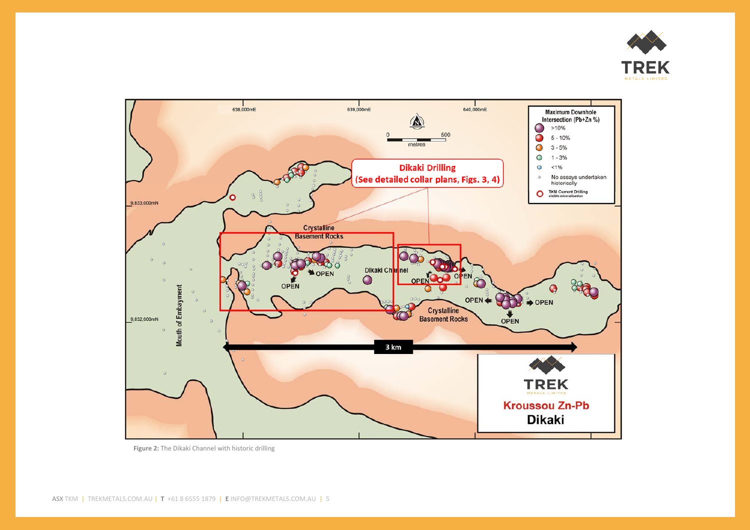



**Figure 2:** The Dikaki Channel with historic drilling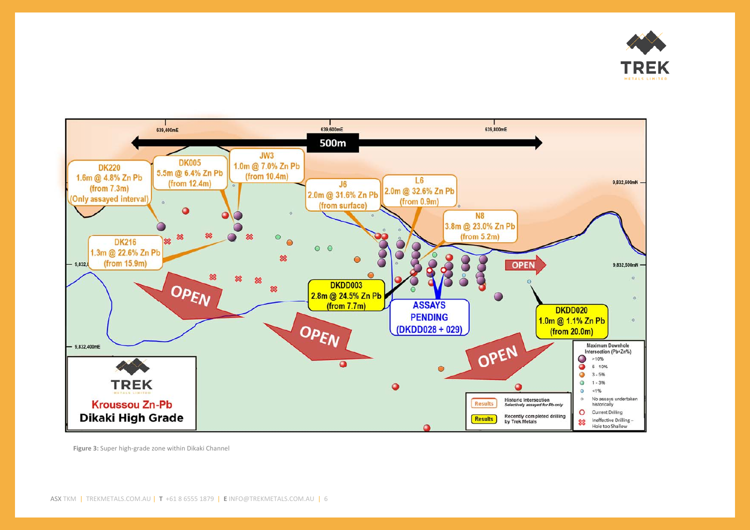



**Figure 3:** Super high‐grade zone within Dikaki Channel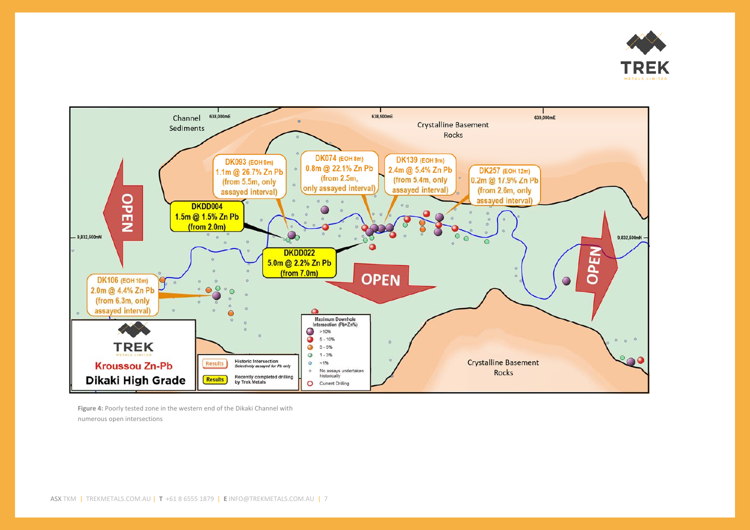



**Figure 4:** Poorly tested zone in the western end of the Dikaki Channel with numerous open intersections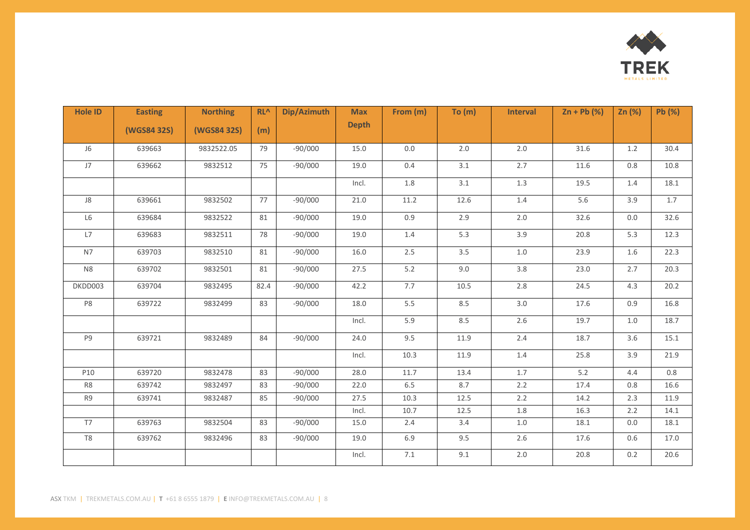

| <b>Hole ID</b> | <b>Easting</b> | <b>Northing</b> | $RL^{\Lambda}$ | Dip/Azimuth | <b>Max</b>   | From (m) | To $(m)$ | <b>Interval</b> | $Zn + Pb (%)$ | Zn $(%)$ | Pb (%) |
|----------------|----------------|-----------------|----------------|-------------|--------------|----------|----------|-----------------|---------------|----------|--------|
|                | (WGS84 32S)    | (WGS84 32S)     | (m)            |             | <b>Depth</b> |          |          |                 |               |          |        |
| J6             | 639663         | 9832522.05      | 79             | $-90/000$   | 15.0         | 0.0      | 2.0      | $2.0\,$         | 31.6          | 1.2      | 30.4   |
| J7             | 639662         | 9832512         | 75             | $-90/000$   | 19.0         | 0.4      | 3.1      | 2.7             | 11.6          | 0.8      | 10.8   |
|                |                |                 |                |             | Incl.        | 1.8      | 3.1      | $1.3\,$         | 19.5          | 1.4      | 18.1   |
| ${\sf J}8$     | 639661         | 9832502         | 77             | $-90/000$   | 21.0         | 11.2     | 12.6     | 1.4             | 5.6           | 3.9      | 1.7    |
| L6             | 639684         | 9832522         | 81             | $-90/000$   | 19.0         | 0.9      | 2.9      | $2.0\,$         | 32.6          | 0.0      | 32.6   |
| L7             | 639683         | 9832511         | 78             | $-90/000$   | 19.0         | 1.4      | 5.3      | 3.9             | 20.8          | 5.3      | 12.3   |
| N7             | 639703         | 9832510         | 81             | $-90/000$   | 16.0         | 2.5      | 3.5      | 1.0             | 23.9          | 1.6      | 22.3   |
| N <sub>8</sub> | 639702         | 9832501         | 81             | $-90/000$   | 27.5         | $5.2$    | 9.0      | 3.8             | 23.0          | 2.7      | 20.3   |
| DKDD003        | 639704         | 9832495         | 82.4           | $-90/000$   | 42.2         | 7.7      | 10.5     | 2.8             | 24.5          | 4.3      | 20.2   |
| P8             | 639722         | 9832499         | 83             | $-90/000$   | 18.0         | 5.5      | 8.5      | 3.0             | 17.6          | 0.9      | 16.8   |
|                |                |                 |                |             | Incl.        | 5.9      | 8.5      | 2.6             | 19.7          | $1.0$    | 18.7   |
| P9             | 639721         | 9832489         | 84             | $-90/000$   | 24.0         | 9.5      | 11.9     | 2.4             | 18.7          | 3.6      | 15.1   |
|                |                |                 |                |             | Incl.        | 10.3     | 11.9     | $1.4\,$         | 25.8          | 3.9      | 21.9   |
| P10            | 639720         | 9832478         | 83             | $-90/000$   | 28.0         | 11.7     | 13.4     | 1.7             | 5.2           | 4.4      | 0.8    |
| R8             | 639742         | 9832497         | 83             | $-90/000$   | 22.0         | 6.5      | 8.7      | 2.2             | 17.4          | 0.8      | 16.6   |
| R9             | 639741         | 9832487         | 85             | $-90/000$   | 27.5         | 10.3     | 12.5     | 2.2             | 14.2          | 2.3      | 11.9   |
|                |                |                 |                |             | Incl.        | 10.7     | 12.5     | 1.8             | 16.3          | 2.2      | 14.1   |
| T7             | 639763         | 9832504         | 83             | $-90/000$   | 15.0         | 2.4      | 3.4      | 1.0             | 18.1          | 0.0      | 18.1   |
| T8             | 639762         | 9832496         | 83             | $-90/000$   | 19.0         | 6.9      | 9.5      | $2.6\,$         | 17.6          | 0.6      | 17.0   |
|                |                |                 |                |             | Incl.        | $7.1\,$  | 9.1      | 2.0             | 20.8          | 0.2      | 20.6   |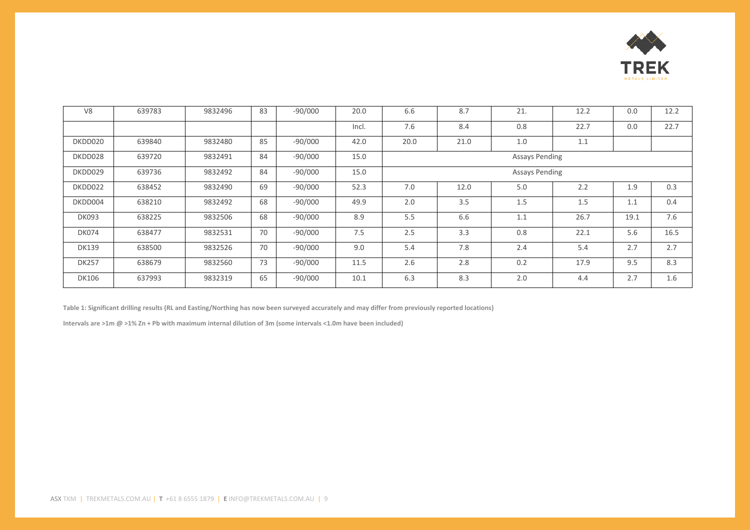

| V <sub>8</sub> | 639783 | 9832496 | 83 | $-90/000$ | 20.0  | 6.6  | 8.7                   | 21.                   | 12.2 | 0.0  | 12.2 |
|----------------|--------|---------|----|-----------|-------|------|-----------------------|-----------------------|------|------|------|
|                |        |         |    |           | Incl. | 7.6  | 8.4                   | 0.8                   | 22.7 | 0.0  | 22.7 |
| DKDD020        | 639840 | 9832480 | 85 | $-90/000$ | 42.0  | 20.0 | 21.0                  | 1.0                   | 1.1  |      |      |
| DKDD028        | 639720 | 9832491 | 84 | $-90/000$ | 15.0  |      | <b>Assays Pending</b> |                       |      |      |      |
| DKDD029        | 639736 | 9832492 | 84 | $-90/000$ | 15.0  |      |                       | <b>Assays Pending</b> |      |      |      |
| DKDD022        | 638452 | 9832490 | 69 | $-90/000$ | 52.3  | 7.0  | 12.0                  | 5.0                   | 2.2  | 1.9  | 0.3  |
| DKDD004        | 638210 | 9832492 | 68 | $-90/000$ | 49.9  | 2.0  | 3.5                   | 1.5                   | 1.5  | 1.1  | 0.4  |
| <b>DK093</b>   | 638225 | 9832506 | 68 | $-90/000$ | 8.9   | 5.5  | 6.6                   | 1.1                   | 26.7 | 19.1 | 7.6  |
| <b>DK074</b>   | 638477 | 9832531 | 70 | $-90/000$ | 7.5   | 2.5  | 3.3                   | 0.8                   | 22.1 | 5.6  | 16.5 |
| <b>DK139</b>   | 638500 | 9832526 | 70 | $-90/000$ | 9.0   | 5.4  | 7.8                   | 2.4                   | 5.4  | 2.7  | 2.7  |
| <b>DK257</b>   | 638679 | 9832560 | 73 | $-90/000$ | 11.5  | 2.6  | 2.8                   | 0.2                   | 17.9 | 9.5  | 8.3  |
| <b>DK106</b>   | 637993 | 9832319 | 65 | $-90/000$ | 10.1  | 6.3  | 8.3                   | 2.0                   | 4.4  | 2.7  | 1.6  |

Table 1: Significant drilling results (RL and Easting/Northing has now been surveyed accurately and may differ from previously reported locations)

**Intervals are >1m @ >1% Zn + Pb with maximum internal dilution of 3m (some intervals <1.0m have been included)**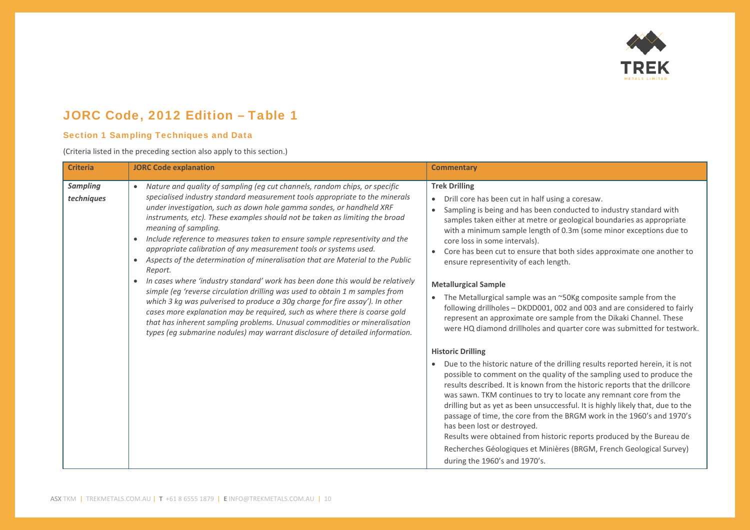

## JORC Code, 2012 Edition – Table 1

#### Section 1 Sampling Techniques and Data

(Criteria listed in the preceding section also apply to this section.)

| <b>Criteria</b>               | <b>JORC Code explanation</b>                                                                                                                                                                                                                                                                                                                                                                                                                                                                                                                                                                                                                                                                                                                                                                                                                                                                                                                                                                                                                                                                                      | <b>Commentary</b>                                                                                                                                                                                                                                                                                                                                                                                                                                                                                                                                                                                                                                                                                                                                                                                                                                                                                                                                                                      |
|-------------------------------|-------------------------------------------------------------------------------------------------------------------------------------------------------------------------------------------------------------------------------------------------------------------------------------------------------------------------------------------------------------------------------------------------------------------------------------------------------------------------------------------------------------------------------------------------------------------------------------------------------------------------------------------------------------------------------------------------------------------------------------------------------------------------------------------------------------------------------------------------------------------------------------------------------------------------------------------------------------------------------------------------------------------------------------------------------------------------------------------------------------------|----------------------------------------------------------------------------------------------------------------------------------------------------------------------------------------------------------------------------------------------------------------------------------------------------------------------------------------------------------------------------------------------------------------------------------------------------------------------------------------------------------------------------------------------------------------------------------------------------------------------------------------------------------------------------------------------------------------------------------------------------------------------------------------------------------------------------------------------------------------------------------------------------------------------------------------------------------------------------------------|
| <b>Sampling</b><br>techniques | Nature and quality of sampling (eg cut channels, random chips, or specific<br>$\bullet$<br>specialised industry standard measurement tools appropriate to the minerals<br>under investigation, such as down hole gamma sondes, or handheld XRF<br>instruments, etc). These examples should not be taken as limiting the broad<br>meaning of sampling.<br>Include reference to measures taken to ensure sample representivity and the<br>appropriate calibration of any measurement tools or systems used.<br>Aspects of the determination of mineralisation that are Material to the Public<br>Report.<br>In cases where 'industry standard' work has been done this would be relatively<br>$\bullet$<br>simple (eg 'reverse circulation drilling was used to obtain 1 m samples from<br>which 3 kg was pulverised to produce a 30g charge for fire assay'). In other<br>cases more explanation may be required, such as where there is coarse gold<br>that has inherent sampling problems. Unusual commodities or mineralisation<br>types (eg submarine nodules) may warrant disclosure of detailed information. | <b>Trek Drilling</b><br>Drill core has been cut in half using a coresaw.<br>$\bullet$<br>Sampling is being and has been conducted to industry standard with<br>samples taken either at metre or geological boundaries as appropriate<br>with a minimum sample length of 0.3m (some minor exceptions due to<br>core loss in some intervals).<br>Core has been cut to ensure that both sides approximate one another to<br>ensure representivity of each length.<br><b>Metallurgical Sample</b><br>• The Metallurgical sample was an ~50Kg composite sample from the<br>following drillholes - DKDD001, 002 and 003 and are considered to fairly<br>represent an approximate ore sample from the Dikaki Channel. These<br>were HQ diamond drillholes and quarter core was submitted for testwork.<br><b>Historic Drilling</b><br>Due to the historic nature of the drilling results reported herein, it is not<br>possible to comment on the quality of the sampling used to produce the |
|                               |                                                                                                                                                                                                                                                                                                                                                                                                                                                                                                                                                                                                                                                                                                                                                                                                                                                                                                                                                                                                                                                                                                                   | results described. It is known from the historic reports that the drillcore<br>was sawn. TKM continues to try to locate any remnant core from the<br>drilling but as yet as been unsuccessful. It is highly likely that, due to the<br>passage of time, the core from the BRGM work in the 1960's and 1970's<br>has been lost or destroyed.<br>Results were obtained from historic reports produced by the Bureau de<br>Recherches Géologiques et Minières (BRGM, French Geological Survey)<br>during the 1960's and 1970's.                                                                                                                                                                                                                                                                                                                                                                                                                                                           |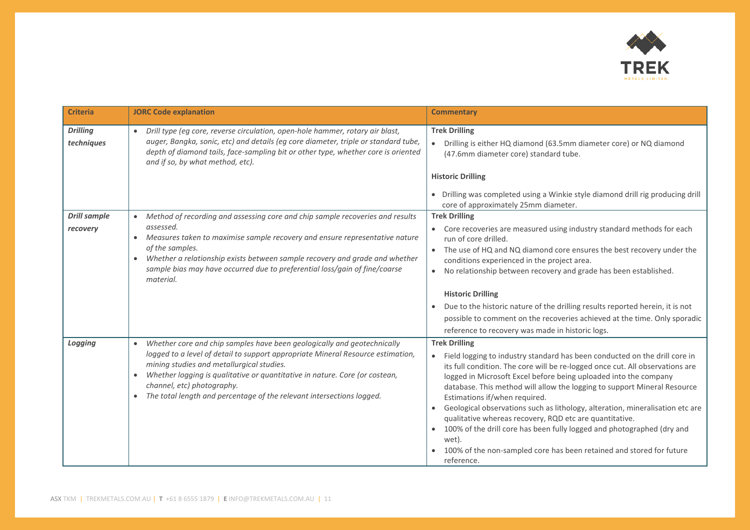

| <b>Criteria</b>                 | <b>JORC Code explanation</b>                                                                                                                                                                                                                                                                                                                                                                               | <b>Commentary</b>                                                                                                                                                                                                                                                                                                                                                                                                                                                                                                                                                                                                                                                                                      |
|---------------------------------|------------------------------------------------------------------------------------------------------------------------------------------------------------------------------------------------------------------------------------------------------------------------------------------------------------------------------------------------------------------------------------------------------------|--------------------------------------------------------------------------------------------------------------------------------------------------------------------------------------------------------------------------------------------------------------------------------------------------------------------------------------------------------------------------------------------------------------------------------------------------------------------------------------------------------------------------------------------------------------------------------------------------------------------------------------------------------------------------------------------------------|
| <b>Drilling</b><br>techniques   | Drill type (eg core, reverse circulation, open-hole hammer, rotary air blast,<br>$\bullet$<br>auger, Bangka, sonic, etc) and details (eg core diameter, triple or standard tube,<br>depth of diamond tails, face-sampling bit or other type, whether core is oriented<br>and if so, by what method, etc).                                                                                                  | <b>Trek Drilling</b><br>• Drilling is either HQ diamond (63.5mm diameter core) or NQ diamond<br>(47.6mm diameter core) standard tube.<br><b>Historic Drilling</b><br>• Drilling was completed using a Winkie style diamond drill rig producing drill<br>core of approximately 25mm diameter.                                                                                                                                                                                                                                                                                                                                                                                                           |
| <b>Drill sample</b><br>recovery | Method of recording and assessing core and chip sample recoveries and results<br>assessed.<br>Measures taken to maximise sample recovery and ensure representative nature<br>of the samples.<br>Whether a relationship exists between sample recovery and grade and whether<br>sample bias may have occurred due to preferential loss/gain of fine/coarse<br>material.                                     | <b>Trek Drilling</b><br>• Core recoveries are measured using industry standard methods for each<br>run of core drilled.<br>• The use of HQ and NQ diamond core ensures the best recovery under the<br>conditions experienced in the project area.<br>No relationship between recovery and grade has been established.<br>$\bullet$<br><b>Historic Drilling</b><br>Due to the historic nature of the drilling results reported herein, it is not<br>possible to comment on the recoveries achieved at the time. Only sporadic<br>reference to recovery was made in historic logs.                                                                                                                       |
| Logging                         | Whether core and chip samples have been geologically and geotechnically<br>$\bullet$<br>logged to a level of detail to support appropriate Mineral Resource estimation,<br>mining studies and metallurgical studies.<br>Whether logging is qualitative or quantitative in nature. Core (or costean,<br>channel, etc) photography.<br>The total length and percentage of the relevant intersections logged. | <b>Trek Drilling</b><br>Field logging to industry standard has been conducted on the drill core in<br>its full condition. The core will be re-logged once cut. All observations are<br>logged in Microsoft Excel before being uploaded into the company<br>database. This method will allow the logging to support Mineral Resource<br>Estimations if/when required.<br>Geological observations such as lithology, alteration, mineralisation etc are<br>qualitative whereas recovery, RQD etc are quantitative.<br>100% of the drill core has been fully logged and photographed (dry and<br>$\bullet$<br>wet).<br>100% of the non-sampled core has been retained and stored for future<br>reference. |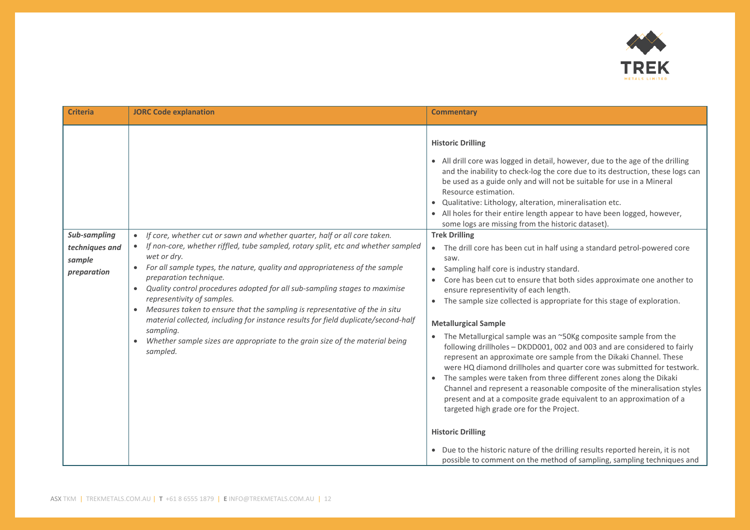

| <b>Criteria</b>                                         | <b>JORC Code explanation</b>                                                                                                                                                                                                                                                                                                                                                                                                                                                                                                                                                                                                                                                                    | <b>Commentary</b>                                                                                                                                                                                                                                                                                                                                                                                                                                                                                                                                                                                                                                                                                                                                                                                                                                                                                                                                                                                                                                                                                                                                                                                     |
|---------------------------------------------------------|-------------------------------------------------------------------------------------------------------------------------------------------------------------------------------------------------------------------------------------------------------------------------------------------------------------------------------------------------------------------------------------------------------------------------------------------------------------------------------------------------------------------------------------------------------------------------------------------------------------------------------------------------------------------------------------------------|-------------------------------------------------------------------------------------------------------------------------------------------------------------------------------------------------------------------------------------------------------------------------------------------------------------------------------------------------------------------------------------------------------------------------------------------------------------------------------------------------------------------------------------------------------------------------------------------------------------------------------------------------------------------------------------------------------------------------------------------------------------------------------------------------------------------------------------------------------------------------------------------------------------------------------------------------------------------------------------------------------------------------------------------------------------------------------------------------------------------------------------------------------------------------------------------------------|
|                                                         |                                                                                                                                                                                                                                                                                                                                                                                                                                                                                                                                                                                                                                                                                                 | <b>Historic Drilling</b><br>• All drill core was logged in detail, however, due to the age of the drilling<br>and the inability to check-log the core due to its destruction, these logs can<br>be used as a guide only and will not be suitable for use in a Mineral<br>Resource estimation.<br>· Qualitative: Lithology, alteration, mineralisation etc.<br>• All holes for their entire length appear to have been logged, however,<br>some logs are missing from the historic dataset).                                                                                                                                                                                                                                                                                                                                                                                                                                                                                                                                                                                                                                                                                                           |
| Sub-sampling<br>techniques and<br>sample<br>preparation | If core, whether cut or sawn and whether quarter, half or all core taken.<br>$\bullet$<br>If non-core, whether riffled, tube sampled, rotary split, etc and whether sampled<br>wet or dry.<br>For all sample types, the nature, quality and appropriateness of the sample<br>preparation technique.<br>Quality control procedures adopted for all sub-sampling stages to maximise<br>representivity of samples.<br>• Measures taken to ensure that the sampling is representative of the in situ<br>material collected, including for instance results for field duplicate/second-half<br>sampling.<br>Whether sample sizes are appropriate to the grain size of the material being<br>sampled. | <b>Trek Drilling</b><br>The drill core has been cut in half using a standard petrol-powered core<br>$\bullet$<br>saw.<br>Sampling half core is industry standard.<br>$\bullet$<br>Core has been cut to ensure that both sides approximate one another to<br>ensure representivity of each length.<br>The sample size collected is appropriate for this stage of exploration.<br>$\bullet$<br><b>Metallurgical Sample</b><br>The Metallurgical sample was an ~50Kg composite sample from the<br>following drillholes - DKDD001, 002 and 003 and are considered to fairly<br>represent an approximate ore sample from the Dikaki Channel. These<br>were HQ diamond drillholes and quarter core was submitted for testwork.<br>The samples were taken from three different zones along the Dikaki<br>$\bullet$<br>Channel and represent a reasonable composite of the mineralisation styles<br>present and at a composite grade equivalent to an approximation of a<br>targeted high grade ore for the Project.<br><b>Historic Drilling</b><br>• Due to the historic nature of the drilling results reported herein, it is not<br>possible to comment on the method of sampling, sampling techniques and |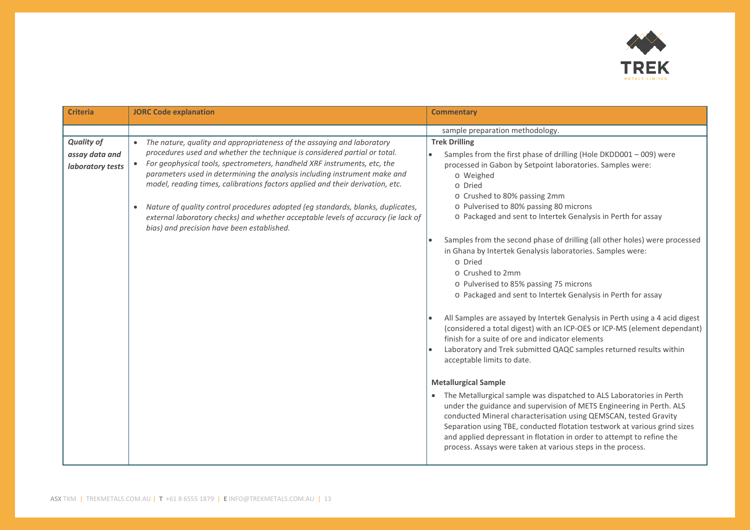

| <b>Criteria</b>                                         | <b>JORC Code explanation</b>                                                                                                                                                                                                                                                                                                                                                                                                                                                                                                                                                                                                                               | <b>Commentary</b>                                                                                                                                                                                                                                                                                                                                                                                                                                                                                               |
|---------------------------------------------------------|------------------------------------------------------------------------------------------------------------------------------------------------------------------------------------------------------------------------------------------------------------------------------------------------------------------------------------------------------------------------------------------------------------------------------------------------------------------------------------------------------------------------------------------------------------------------------------------------------------------------------------------------------------|-----------------------------------------------------------------------------------------------------------------------------------------------------------------------------------------------------------------------------------------------------------------------------------------------------------------------------------------------------------------------------------------------------------------------------------------------------------------------------------------------------------------|
|                                                         |                                                                                                                                                                                                                                                                                                                                                                                                                                                                                                                                                                                                                                                            | sample preparation methodology.                                                                                                                                                                                                                                                                                                                                                                                                                                                                                 |
| <b>Quality of</b><br>assay data and<br>laboratory tests | The nature, quality and appropriateness of the assaying and laboratory<br>$\bullet$<br>procedures used and whether the technique is considered partial or total.<br>For geophysical tools, spectrometers, handheld XRF instruments, etc, the<br>$\bullet$<br>parameters used in determining the analysis including instrument make and<br>model, reading times, calibrations factors applied and their derivation, etc.<br>Nature of quality control procedures adopted (eg standards, blanks, duplicates,<br>$\bullet$<br>external laboratory checks) and whether acceptable levels of accuracy (ie lack of<br>bias) and precision have been established. | <b>Trek Drilling</b><br>Samples from the first phase of drilling (Hole DKDD001 - 009) were<br>$\bullet$<br>processed in Gabon by Setpoint laboratories. Samples were:<br>o Weighed<br>o Dried<br>o Crushed to 80% passing 2mm<br>o Pulverised to 80% passing 80 microns<br>o Packaged and sent to Intertek Genalysis in Perth for assay<br>Samples from the second phase of drilling (all other holes) were processed<br>in Ghana by Intertek Genalysis laboratories. Samples were:                             |
|                                                         |                                                                                                                                                                                                                                                                                                                                                                                                                                                                                                                                                                                                                                                            | o Dried<br>o Crushed to 2mm<br>o Pulverised to 85% passing 75 microns<br>o Packaged and sent to Intertek Genalysis in Perth for assay<br>All Samples are assayed by Intertek Genalysis in Perth using a 4 acid digest<br>(considered a total digest) with an ICP-OES or ICP-MS (element dependant)<br>finish for a suite of ore and indicator elements<br>Laboratory and Trek submitted QAQC samples returned results within                                                                                    |
|                                                         |                                                                                                                                                                                                                                                                                                                                                                                                                                                                                                                                                                                                                                                            | acceptable limits to date.<br><b>Metallurgical Sample</b><br>The Metallurgical sample was dispatched to ALS Laboratories in Perth<br>$\bullet$<br>under the guidance and supervision of METS Engineering in Perth. ALS<br>conducted Mineral characterisation using QEMSCAN, tested Gravity<br>Separation using TBE, conducted flotation testwork at various grind sizes<br>and applied depressant in flotation in order to attempt to refine the<br>process. Assays were taken at various steps in the process. |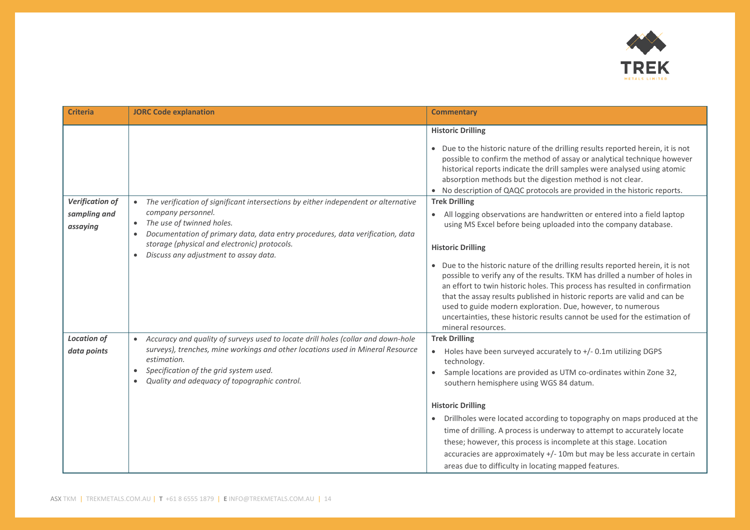

| <b>Criteria</b>                                    | <b>JORC Code explanation</b>                                                                                                                                                                                                                                                                                                                           | <b>Commentary</b>                                                                                                                                                                                                                                                                                                                                                                                                                                                                                                                                                                                                                                                                                            |
|----------------------------------------------------|--------------------------------------------------------------------------------------------------------------------------------------------------------------------------------------------------------------------------------------------------------------------------------------------------------------------------------------------------------|--------------------------------------------------------------------------------------------------------------------------------------------------------------------------------------------------------------------------------------------------------------------------------------------------------------------------------------------------------------------------------------------------------------------------------------------------------------------------------------------------------------------------------------------------------------------------------------------------------------------------------------------------------------------------------------------------------------|
|                                                    |                                                                                                                                                                                                                                                                                                                                                        | <b>Historic Drilling</b><br>• Due to the historic nature of the drilling results reported herein, it is not<br>possible to confirm the method of assay or analytical technique however<br>historical reports indicate the drill samples were analysed using atomic<br>absorption methods but the digestion method is not clear.<br>• No description of QAQC protocols are provided in the historic reports.                                                                                                                                                                                                                                                                                                  |
| <b>Verification of</b><br>sampling and<br>assaying | The verification of significant intersections by either independent or alternative<br>company personnel.<br>The use of twinned holes.<br>$\bullet$<br>Documentation of primary data, data entry procedures, data verification, data<br>$\bullet$<br>storage (physical and electronic) protocols.<br>Discuss any adjustment to assay data.<br>$\bullet$ | <b>Trek Drilling</b><br>All logging observations are handwritten or entered into a field laptop<br>$\bullet$<br>using MS Excel before being uploaded into the company database.<br><b>Historic Drilling</b><br>• Due to the historic nature of the drilling results reported herein, it is not<br>possible to verify any of the results. TKM has drilled a number of holes in<br>an effort to twin historic holes. This process has resulted in confirmation<br>that the assay results published in historic reports are valid and can be<br>used to guide modern exploration. Due, however, to numerous<br>uncertainties, these historic results cannot be used for the estimation of<br>mineral resources. |
| <b>Location of</b><br>data points                  | Accuracy and quality of surveys used to locate drill holes (collar and down-hole<br>surveys), trenches, mine workings and other locations used in Mineral Resource<br>estimation.<br>Specification of the grid system used.<br>$\bullet$<br>Quality and adequacy of topographic control.<br>$\bullet$                                                  | <b>Trek Drilling</b><br>Holes have been surveyed accurately to +/- 0.1m utilizing DGPS<br>$\bullet$<br>technology.<br>Sample locations are provided as UTM co-ordinates within Zone 32,<br>southern hemisphere using WGS 84 datum.<br><b>Historic Drilling</b><br>Drillholes were located according to topography on maps produced at the<br>$\bullet$<br>time of drilling. A process is underway to attempt to accurately locate<br>these; however, this process is incomplete at this stage. Location<br>accuracies are approximately +/- 10m but may be less accurate in certain<br>areas due to difficulty in locating mapped features.                                                                  |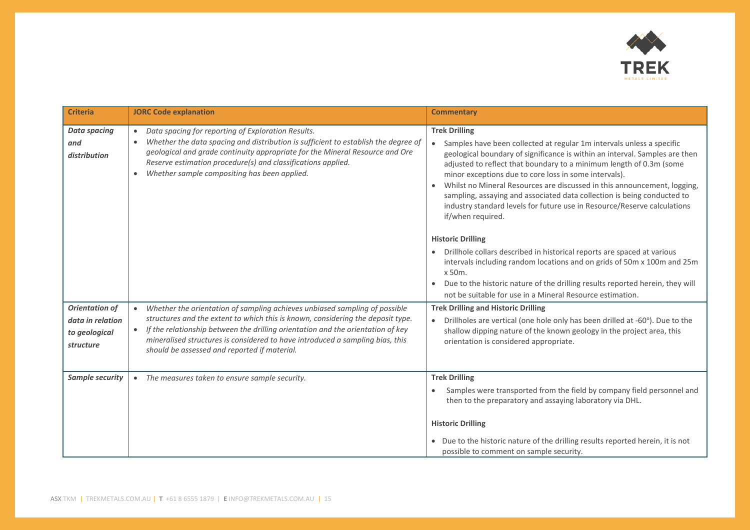

| <b>Criteria</b>                                                         | <b>JORC Code explanation</b>                                                                                                                                                                                                                                                                                                                                                                   | <b>Commentary</b>                                                                                                                                                                                                                                                                                                                                                                                                                                                                                                                                                                                                                                                                                                                                                                                                                                                                                                           |
|-------------------------------------------------------------------------|------------------------------------------------------------------------------------------------------------------------------------------------------------------------------------------------------------------------------------------------------------------------------------------------------------------------------------------------------------------------------------------------|-----------------------------------------------------------------------------------------------------------------------------------------------------------------------------------------------------------------------------------------------------------------------------------------------------------------------------------------------------------------------------------------------------------------------------------------------------------------------------------------------------------------------------------------------------------------------------------------------------------------------------------------------------------------------------------------------------------------------------------------------------------------------------------------------------------------------------------------------------------------------------------------------------------------------------|
| <b>Data spacing</b><br>and<br>distribution                              | Data spacing for reporting of Exploration Results.<br>$\bullet$<br>Whether the data spacing and distribution is sufficient to establish the degree of<br>geological and grade continuity appropriate for the Mineral Resource and Ore<br>Reserve estimation procedure(s) and classifications applied.<br>Whether sample compositing has been applied.<br>$\bullet$                             | <b>Trek Drilling</b><br>Samples have been collected at regular 1m intervals unless a specific<br>$\bullet$<br>geological boundary of significance is within an interval. Samples are then<br>adjusted to reflect that boundary to a minimum length of 0.3m (some<br>minor exceptions due to core loss in some intervals).<br>Whilst no Mineral Resources are discussed in this announcement, logging,<br>sampling, assaying and associated data collection is being conducted to<br>industry standard levels for future use in Resource/Reserve calculations<br>if/when required.<br><b>Historic Drilling</b><br>Drillhole collars described in historical reports are spaced at various<br>intervals including random locations and on grids of 50m x 100m and 25m<br>x 50m.<br>Due to the historic nature of the drilling results reported herein, they will<br>not be suitable for use in a Mineral Resource estimation. |
| <b>Orientation of</b><br>data in relation<br>to geological<br>structure | Whether the orientation of sampling achieves unbiased sampling of possible<br>structures and the extent to which this is known, considering the deposit type.<br>If the relationship between the drilling orientation and the orientation of key<br>$\bullet$<br>mineralised structures is considered to have introduced a sampling bias, this<br>should be assessed and reported if material. | <b>Trek Drilling and Historic Drilling</b><br>Drillholes are vertical (one hole only has been drilled at -60°). Due to the<br>shallow dipping nature of the known geology in the project area, this<br>orientation is considered appropriate.                                                                                                                                                                                                                                                                                                                                                                                                                                                                                                                                                                                                                                                                               |
| <b>Sample security</b>                                                  | The measures taken to ensure sample security.<br>$\bullet$                                                                                                                                                                                                                                                                                                                                     | <b>Trek Drilling</b><br>Samples were transported from the field by company field personnel and<br>then to the preparatory and assaying laboratory via DHL.<br><b>Historic Drilling</b><br>• Due to the historic nature of the drilling results reported herein, it is not<br>possible to comment on sample security.                                                                                                                                                                                                                                                                                                                                                                                                                                                                                                                                                                                                        |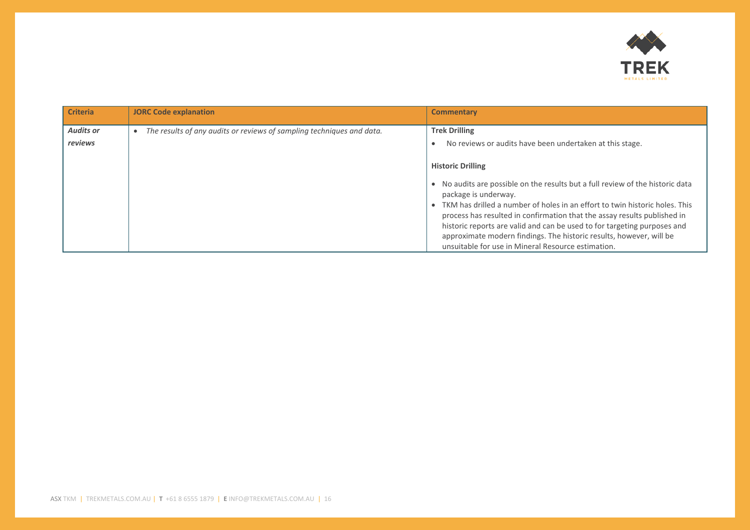

| <b>Criteria</b>             | <b>JORC Code explanation</b>                                          | <b>Commentary</b>                                                                                                                                                                                                                                                                                                                                                                                                                                           |
|-----------------------------|-----------------------------------------------------------------------|-------------------------------------------------------------------------------------------------------------------------------------------------------------------------------------------------------------------------------------------------------------------------------------------------------------------------------------------------------------------------------------------------------------------------------------------------------------|
| <b>Audits or</b><br>reviews | The results of any audits or reviews of sampling techniques and data. | <b>Trek Drilling</b><br>No reviews or audits have been undertaken at this stage.<br><b>Historic Drilling</b><br>No audits are possible on the results but a full review of the historic data<br>package is underway.<br>TKM has drilled a number of holes in an effort to twin historic holes. This<br>process has resulted in confirmation that the assay results published in<br>historic reports are valid and can be used to for targeting purposes and |
|                             |                                                                       | approximate modern findings. The historic results, however, will be<br>unsuitable for use in Mineral Resource estimation.                                                                                                                                                                                                                                                                                                                                   |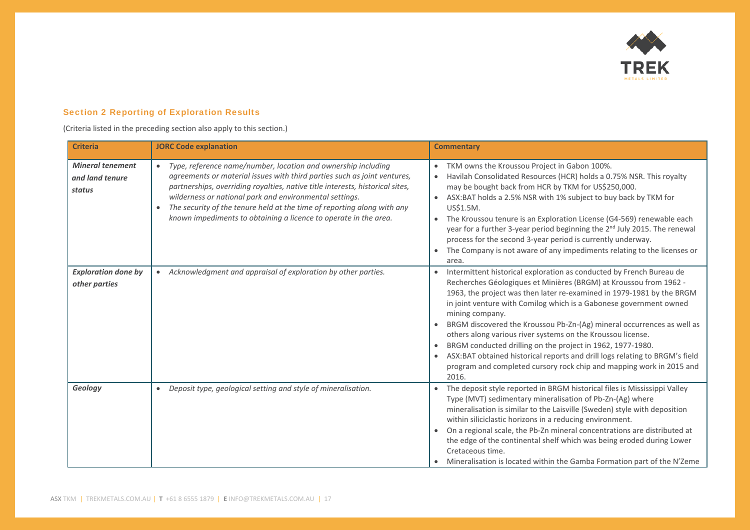

### Section 2 Reporting of Exploration Results

(Criteria listed in the preceding section also apply to this section.)

| <b>Criteria</b>                                      | <b>JORC Code explanation</b>                                                                                                                                                                                                                                                                                                                                                                                                                      | <b>Commentary</b>                                                                                                                                                                                                                                                                                                                                                                                                                                                                                                                                                                                                                                                                  |
|------------------------------------------------------|---------------------------------------------------------------------------------------------------------------------------------------------------------------------------------------------------------------------------------------------------------------------------------------------------------------------------------------------------------------------------------------------------------------------------------------------------|------------------------------------------------------------------------------------------------------------------------------------------------------------------------------------------------------------------------------------------------------------------------------------------------------------------------------------------------------------------------------------------------------------------------------------------------------------------------------------------------------------------------------------------------------------------------------------------------------------------------------------------------------------------------------------|
| <b>Mineral tenement</b><br>and land tenure<br>status | Type, reference name/number, location and ownership including<br>agreements or material issues with third parties such as joint ventures,<br>partnerships, overriding royalties, native title interests, historical sites,<br>wilderness or national park and environmental settings.<br>The security of the tenure held at the time of reporting along with any<br>$\bullet$<br>known impediments to obtaining a licence to operate in the area. | TKM owns the Kroussou Project in Gabon 100%.<br>$\bullet$<br>Havilah Consolidated Resources (HCR) holds a 0.75% NSR. This royalty<br>$\bullet$<br>may be bought back from HCR by TKM for US\$250,000.<br>ASX:BAT holds a 2.5% NSR with 1% subject to buy back by TKM for<br>$\bullet$<br>US\$1.5M.<br>The Kroussou tenure is an Exploration License (G4-569) renewable each<br>$\bullet$<br>year for a further 3-year period beginning the 2 <sup>nd</sup> July 2015. The renewal<br>process for the second 3-year period is currently underway.<br>The Company is not aware of any impediments relating to the licenses or<br>$\bullet$<br>area.                                  |
| <b>Exploration done by</b><br>other parties          | Acknowledgment and appraisal of exploration by other parties.                                                                                                                                                                                                                                                                                                                                                                                     | Intermittent historical exploration as conducted by French Bureau de<br>Recherches Géologiques et Minières (BRGM) at Kroussou from 1962 -<br>1963, the project was then later re-examined in 1979-1981 by the BRGM<br>in joint venture with Comilog which is a Gabonese government owned<br>mining company.<br>BRGM discovered the Kroussou Pb-Zn-(Ag) mineral occurrences as well as<br>others along various river systems on the Kroussou license.<br>BRGM conducted drilling on the project in 1962, 1977-1980.<br>ASX:BAT obtained historical reports and drill logs relating to BRGM's field<br>program and completed cursory rock chip and mapping work in 2015 and<br>2016. |
| Geology                                              | Deposit type, geological setting and style of mineralisation.<br>$\bullet$                                                                                                                                                                                                                                                                                                                                                                        | The deposit style reported in BRGM historical files is Mississippi Valley<br>Type (MVT) sedimentary mineralisation of Pb-Zn-(Ag) where<br>mineralisation is similar to the Laisville (Sweden) style with deposition<br>within siliciclastic horizons in a reducing environment.<br>On a regional scale, the Pb-Zn mineral concentrations are distributed at<br>the edge of the continental shelf which was being eroded during Lower<br>Cretaceous time.<br>Mineralisation is located within the Gamba Formation part of the N'Zeme                                                                                                                                                |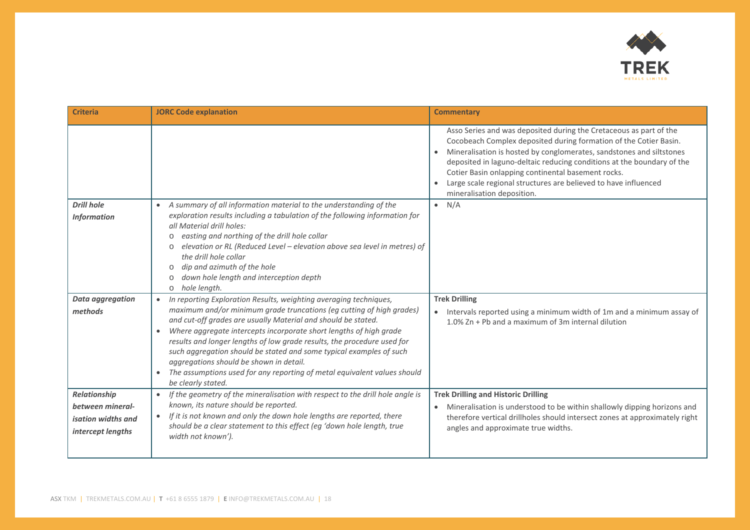

| <b>Criteria</b>                                                             | <b>JORC Code explanation</b>                                                                                                                                                                                                                                                                                                                                                                                                                                                                                                                                                                              | <b>Commentary</b>                                                                                                                                                                                                                                                                                                                                                                                                                                             |
|-----------------------------------------------------------------------------|-----------------------------------------------------------------------------------------------------------------------------------------------------------------------------------------------------------------------------------------------------------------------------------------------------------------------------------------------------------------------------------------------------------------------------------------------------------------------------------------------------------------------------------------------------------------------------------------------------------|---------------------------------------------------------------------------------------------------------------------------------------------------------------------------------------------------------------------------------------------------------------------------------------------------------------------------------------------------------------------------------------------------------------------------------------------------------------|
|                                                                             |                                                                                                                                                                                                                                                                                                                                                                                                                                                                                                                                                                                                           | Asso Series and was deposited during the Cretaceous as part of the<br>Cocobeach Complex deposited during formation of the Cotier Basin.<br>Mineralisation is hosted by conglomerates, sandstones and siltstones<br>$\bullet$<br>deposited in laguno-deltaic reducing conditions at the boundary of the<br>Cotier Basin onlapping continental basement rocks.<br>Large scale regional structures are believed to have influenced<br>mineralisation deposition. |
| <b>Drill hole</b><br><b>Information</b>                                     | A summary of all information material to the understanding of the<br>$\bullet$<br>exploration results including a tabulation of the following information for<br>all Material drill holes:<br>easting and northing of the drill hole collar<br>$\circ$<br>elevation or RL (Reduced Level - elevation above sea level in metres) of<br>$\circ$<br>the drill hole collar<br>dip and azimuth of the hole<br>$\circ$<br>down hole length and interception depth<br>$\circ$<br>hole length.<br>$\circ$                                                                                                         | $\bullet$ N/A                                                                                                                                                                                                                                                                                                                                                                                                                                                 |
| <b>Data aggregation</b><br>methods                                          | In reporting Exploration Results, weighting averaging techniques,<br>$\bullet$<br>maximum and/or minimum grade truncations (eg cutting of high grades)<br>and cut-off grades are usually Material and should be stated.<br>Where aggregate intercepts incorporate short lengths of high grade<br>results and longer lengths of low grade results, the procedure used for<br>such aggregation should be stated and some typical examples of such<br>aggregations should be shown in detail.<br>The assumptions used for any reporting of metal equivalent values should<br>$\bullet$<br>be clearly stated. | <b>Trek Drilling</b><br>Intervals reported using a minimum width of 1m and a minimum assay of<br>1.0% Zn + Pb and a maximum of 3m internal dilution                                                                                                                                                                                                                                                                                                           |
| Relationship<br>between mineral-<br>isation widths and<br>intercept lengths | If the geometry of the mineralisation with respect to the drill hole angle is<br>$\bullet$<br>known, its nature should be reported.<br>If it is not known and only the down hole lengths are reported, there<br>should be a clear statement to this effect (eg 'down hole length, true<br>width not known').                                                                                                                                                                                                                                                                                              | <b>Trek Drilling and Historic Drilling</b><br>Mineralisation is understood to be within shallowly dipping horizons and<br>$\bullet$<br>therefore vertical drillholes should intersect zones at approximately right<br>angles and approximate true widths.                                                                                                                                                                                                     |